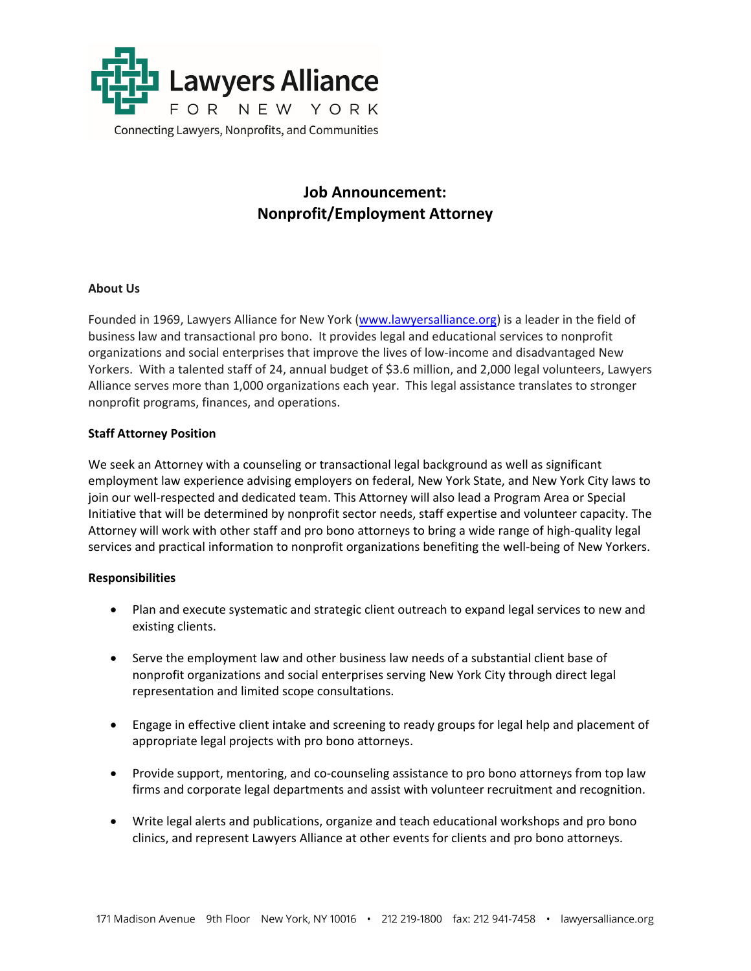

# **Job Announcement: Nonprofit/Employment Attorney**

## **About Us**

Founded in 1969, Lawyers Alliance for New York (www.lawyersalliance.org) is a leader in the field of business law and transactional pro bono. It provides legal and educational services to nonprofit organizations and social enterprises that improve the lives of low‐income and disadvantaged New Yorkers. With a talented staff of 24, annual budget of \$3.6 million, and 2,000 legal volunteers, Lawyers Alliance serves more than 1,000 organizations each year. This legal assistance translates to stronger nonprofit programs, finances, and operations.

#### **Staff Attorney Position**

We seek an Attorney with a counseling or transactional legal background as well as significant employment law experience advising employers on federal, New York State, and New York City laws to join our well-respected and dedicated team. This Attorney will also lead a Program Area or Special Initiative that will be determined by nonprofit sector needs, staff expertise and volunteer capacity. The Attorney will work with other staff and pro bono attorneys to bring a wide range of high‐quality legal services and practical information to nonprofit organizations benefiting the well-being of New Yorkers.

#### **Responsibilities**

- Plan and execute systematic and strategic client outreach to expand legal services to new and existing clients.
- Serve the employment law and other business law needs of a substantial client base of nonprofit organizations and social enterprises serving New York City through direct legal representation and limited scope consultations.
- Engage in effective client intake and screening to ready groups for legal help and placement of appropriate legal projects with pro bono attorneys.
- Provide support, mentoring, and co-counseling assistance to pro bono attorneys from top law firms and corporate legal departments and assist with volunteer recruitment and recognition.
- Write legal alerts and publications, organize and teach educational workshops and pro bono clinics, and represent Lawyers Alliance at other events for clients and pro bono attorneys.